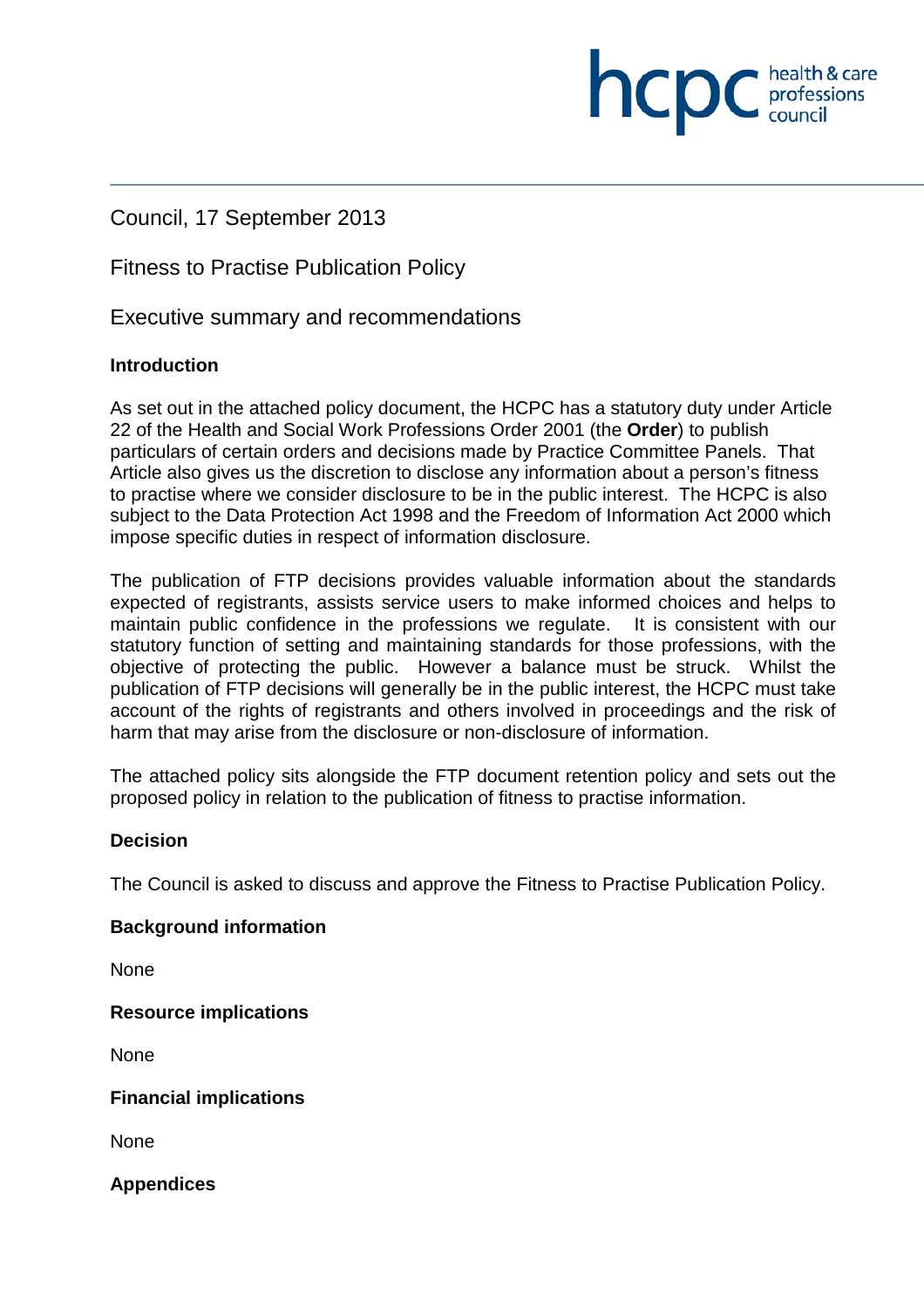Council, 17 September 2013

Fitness to Practise Publication Policy

Executive summary and recommendations

# **Introduction**

As set out in the attached policy document, the HCPC has a statutory duty under Article 22 of the Health and Social Work Professions Order 2001 (the **Order**) to publish particulars of certain orders and decisions made by Practice Committee Panels. That Article also gives us the discretion to disclose any information about a person's fitness to practise where we consider disclosure to be in the public interest. The HCPC is also subject to the Data Protection Act 1998 and the Freedom of Information Act 2000 which impose specific duties in respect of information disclosure.

health & care

**INCDC** *c health & care* 

The publication of FTP decisions provides valuable information about the standards expected of registrants, assists service users to make informed choices and helps to maintain public confidence in the professions we regulate. It is consistent with our statutory function of setting and maintaining standards for those professions, with the objective of protecting the public. However a balance must be struck. Whilst the publication of FTP decisions will generally be in the public interest, the HCPC must take account of the rights of registrants and others involved in proceedings and the risk of harm that may arise from the disclosure or non-disclosure of information.

The attached policy sits alongside the FTP document retention policy and sets out the proposed policy in relation to the publication of fitness to practise information.

# **Decision**

The Council is asked to discuss and approve the Fitness to Practise Publication Policy.

# **Background information**

None

# **Resource implications**

None

# **Financial implications**

None

# **Appendices**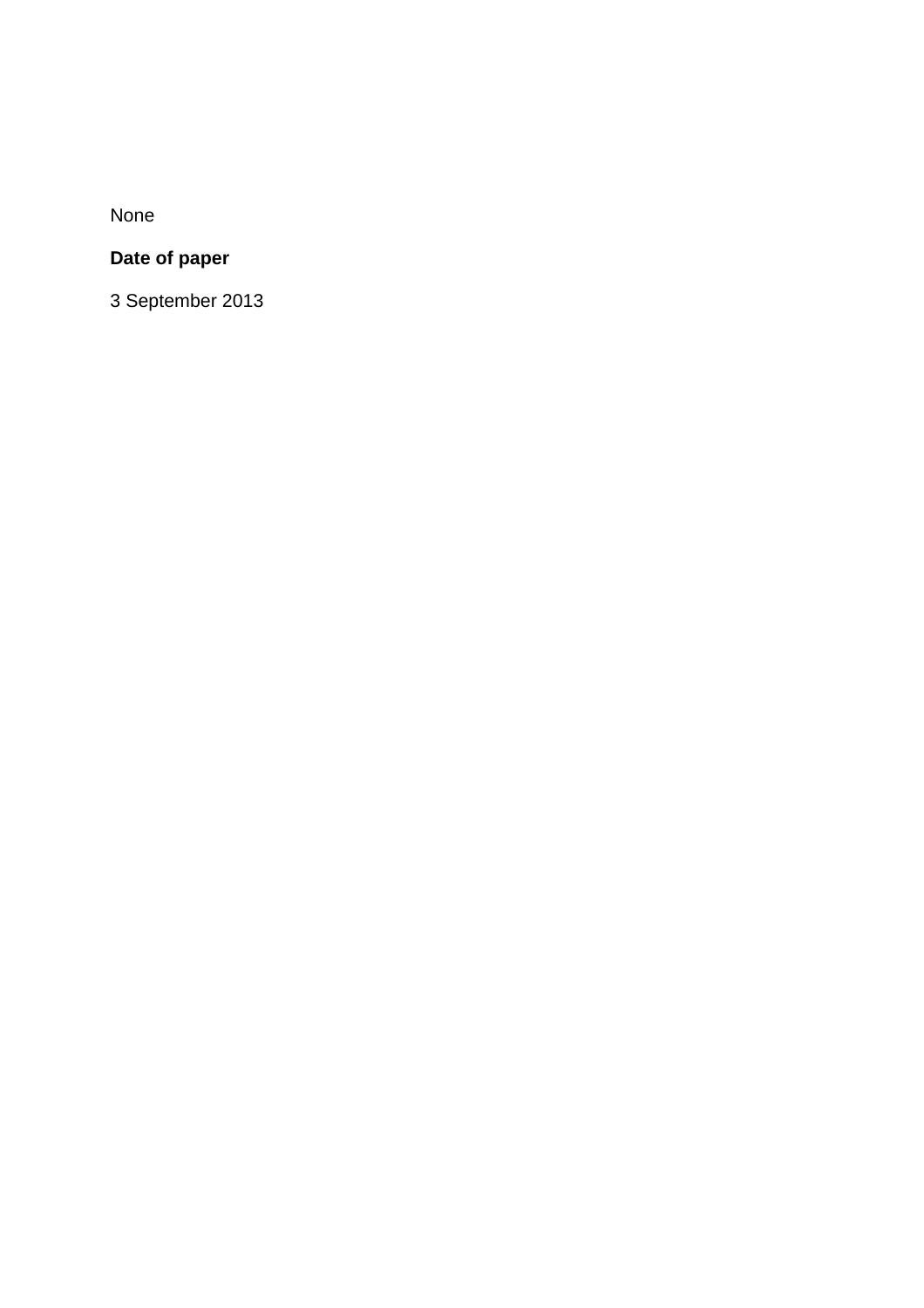None

# **Date of paper**

3 September 2013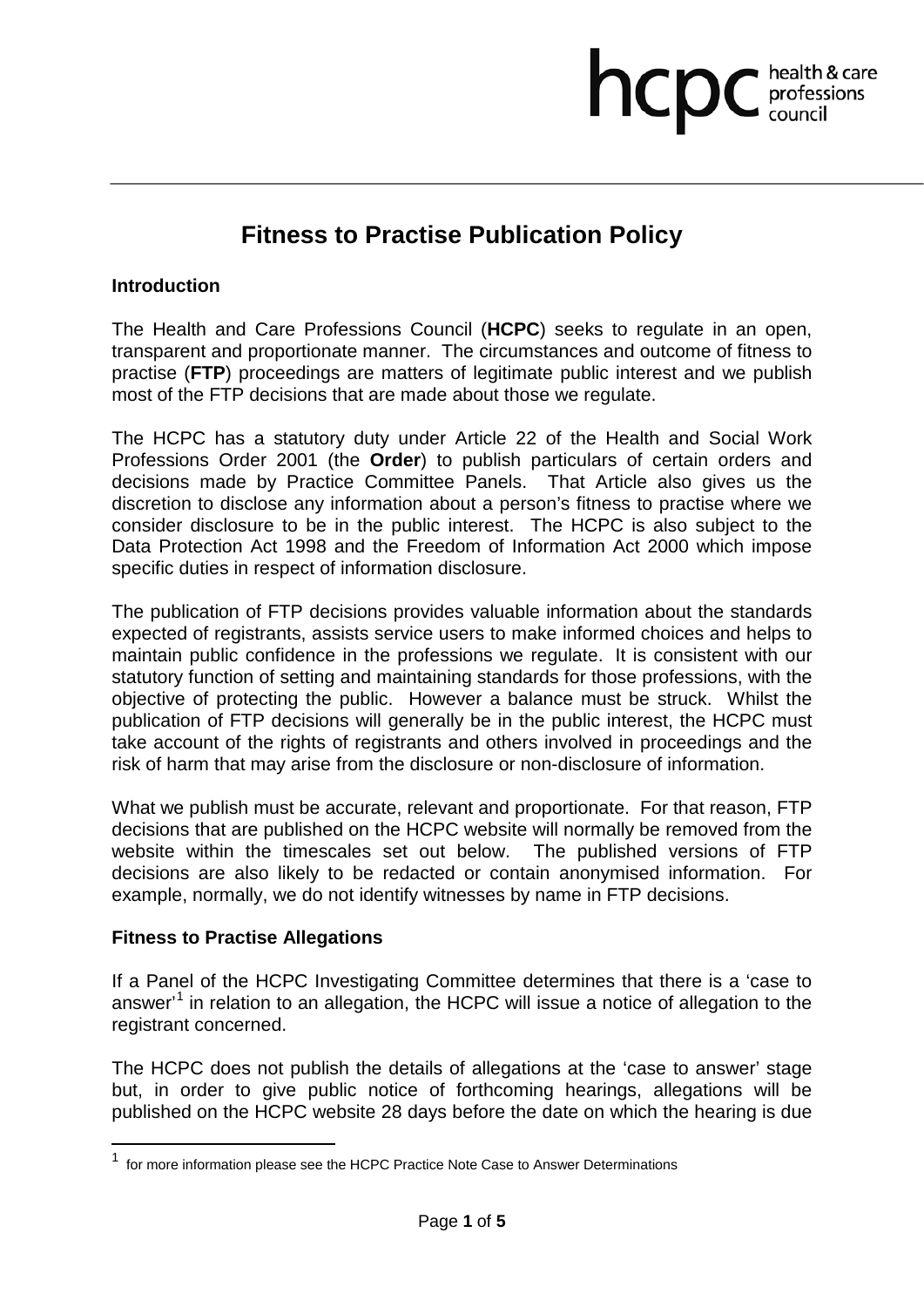# **Fitness to Practise Publication Policy**

hcpc health & care

# **Introduction**

The Health and Care Professions Council (**HCPC**) seeks to regulate in an open, transparent and proportionate manner. The circumstances and outcome of fitness to practise (**FTP**) proceedings are matters of legitimate public interest and we publish most of the FTP decisions that are made about those we regulate.

The HCPC has a statutory duty under Article 22 of the Health and Social Work Professions Order 2001 (the **Order**) to publish particulars of certain orders and decisions made by Practice Committee Panels. That Article also gives us the discretion to disclose any information about a person's fitness to practise where we consider disclosure to be in the public interest. The HCPC is also subject to the Data Protection Act 1998 and the Freedom of Information Act 2000 which impose specific duties in respect of information disclosure.

The publication of FTP decisions provides valuable information about the standards expected of registrants, assists service users to make informed choices and helps to maintain public confidence in the professions we regulate. It is consistent with our statutory function of setting and maintaining standards for those professions, with the objective of protecting the public. However a balance must be struck. Whilst the publication of FTP decisions will generally be in the public interest, the HCPC must take account of the rights of registrants and others involved in proceedings and the risk of harm that may arise from the disclosure or non-disclosure of information.

What we publish must be accurate, relevant and proportionate. For that reason, FTP decisions that are published on the HCPC website will normally be removed from the website within the timescales set out below. The published versions of FTP decisions are also likely to be redacted or contain anonymised information. For example, normally, we do not identify witnesses by name in FTP decisions.

# **Fitness to Practise Allegations**

 $\overline{a}$ 

If a Panel of the HCPC Investigating Committee determines that there is a 'case to answer'<sup>1</sup> in relation to an allegation, the HCPC will issue a notice of allegation to the registrant concerned.

The HCPC does not publish the details of allegations at the 'case to answer' stage but, in order to give public notice of forthcoming hearings, allegations will be published on the HCPC website 28 days before the date on which the hearing is due

<sup>&</sup>lt;sup>1</sup> for more information please see the HCPC Practice Note Case to Answer Determinations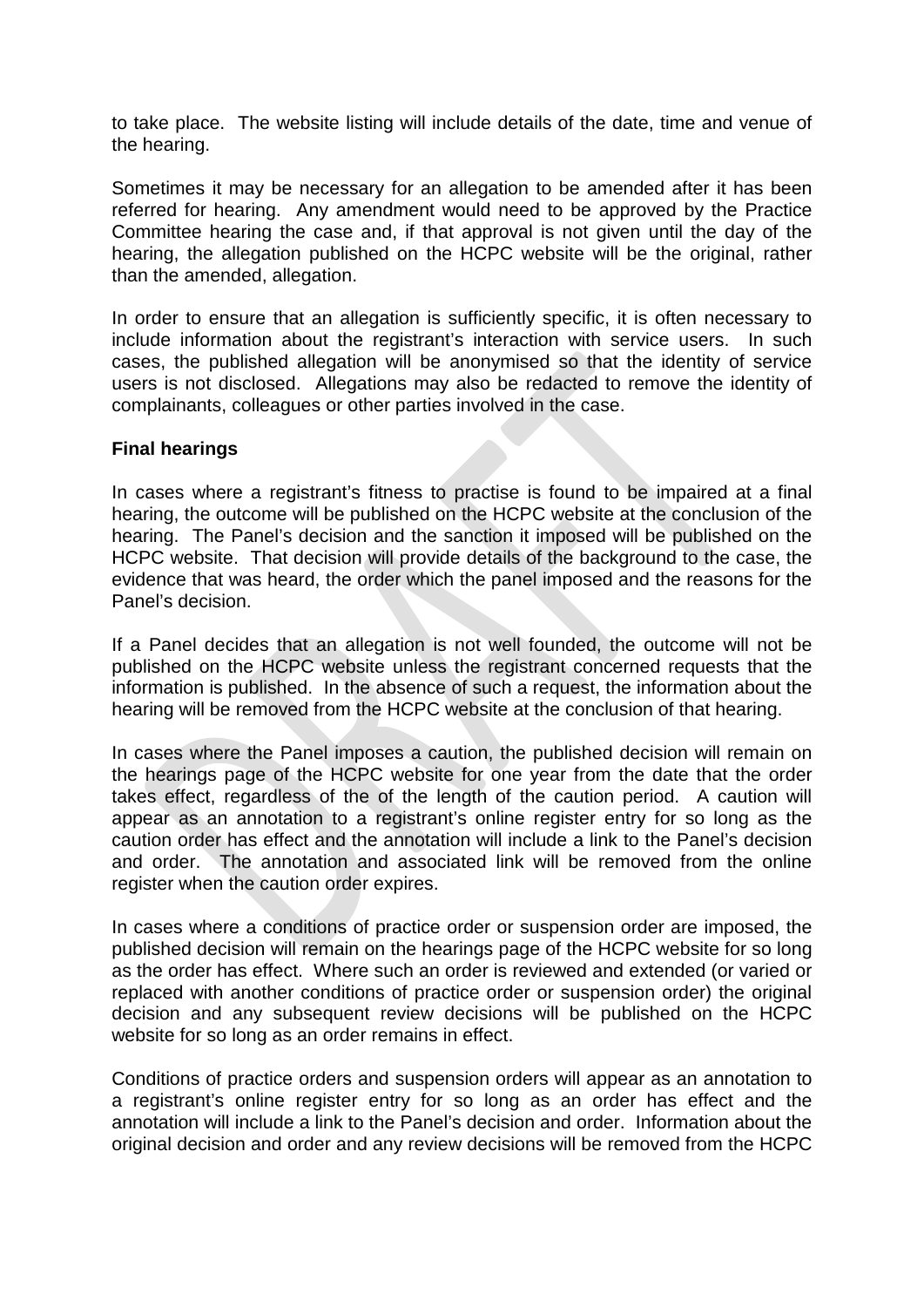to take place. The website listing will include details of the date, time and venue of the hearing.

Sometimes it may be necessary for an allegation to be amended after it has been referred for hearing. Any amendment would need to be approved by the Practice Committee hearing the case and, if that approval is not given until the day of the hearing, the allegation published on the HCPC website will be the original, rather than the amended, allegation.

In order to ensure that an allegation is sufficiently specific, it is often necessary to include information about the registrant's interaction with service users. In such cases, the published allegation will be anonymised so that the identity of service users is not disclosed. Allegations may also be redacted to remove the identity of complainants, colleagues or other parties involved in the case.

# **Final hearings**

In cases where a registrant's fitness to practise is found to be impaired at a final hearing, the outcome will be published on the HCPC website at the conclusion of the hearing. The Panel's decision and the sanction it imposed will be published on the HCPC website. That decision will provide details of the background to the case, the evidence that was heard, the order which the panel imposed and the reasons for the Panel's decision.

If a Panel decides that an allegation is not well founded, the outcome will not be published on the HCPC website unless the registrant concerned requests that the information is published. In the absence of such a request, the information about the hearing will be removed from the HCPC website at the conclusion of that hearing.

In cases where the Panel imposes a caution, the published decision will remain on the hearings page of the HCPC website for one year from the date that the order takes effect, regardless of the of the length of the caution period. A caution will appear as an annotation to a registrant's online register entry for so long as the caution order has effect and the annotation will include a link to the Panel's decision and order. The annotation and associated link will be removed from the online register when the caution order expires.

In cases where a conditions of practice order or suspension order are imposed, the published decision will remain on the hearings page of the HCPC website for so long as the order has effect. Where such an order is reviewed and extended (or varied or replaced with another conditions of practice order or suspension order) the original decision and any subsequent review decisions will be published on the HCPC website for so long as an order remains in effect.

Conditions of practice orders and suspension orders will appear as an annotation to a registrant's online register entry for so long as an order has effect and the annotation will include a link to the Panel's decision and order. Information about the original decision and order and any review decisions will be removed from the HCPC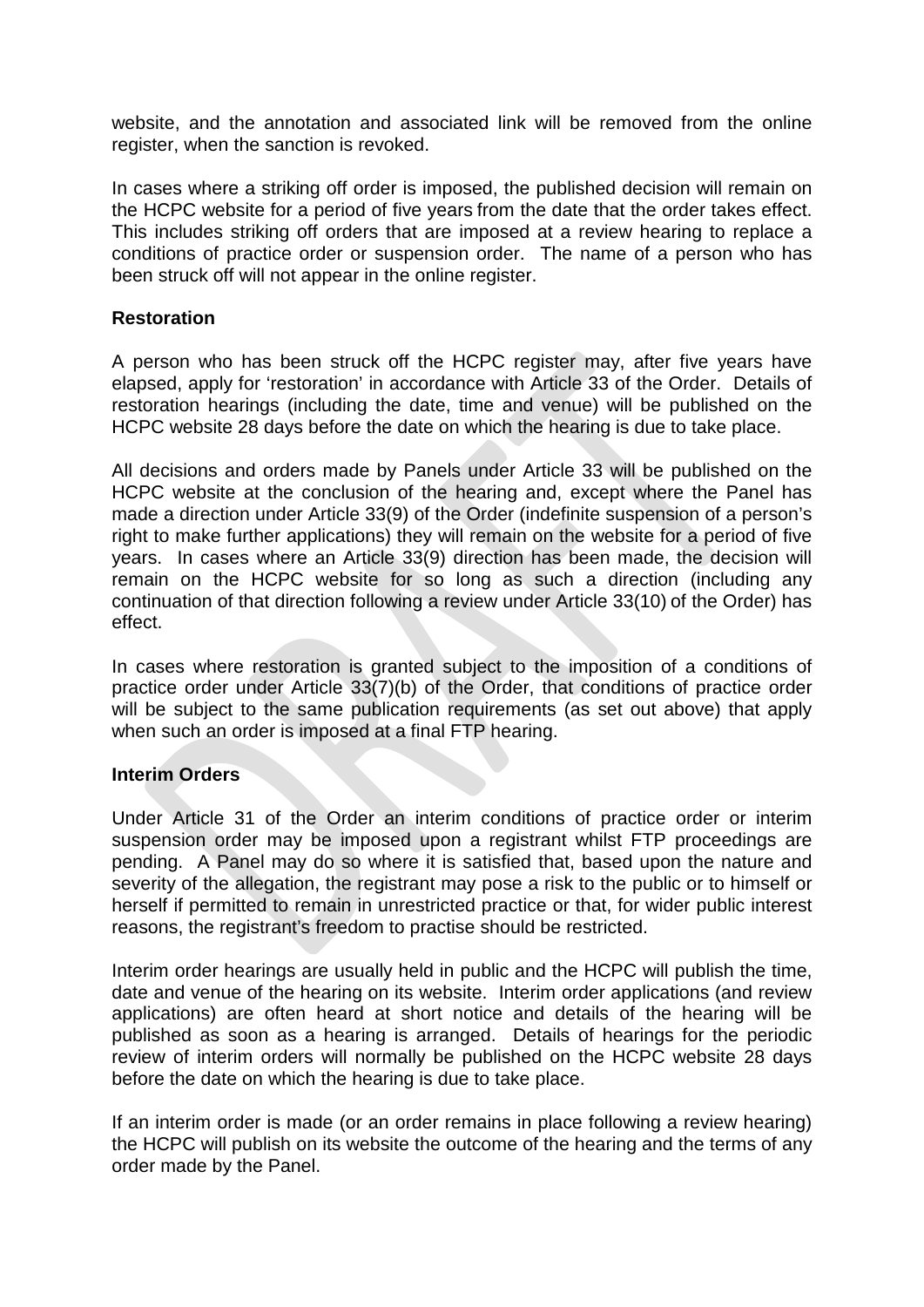website, and the annotation and associated link will be removed from the online register, when the sanction is revoked.

In cases where a striking off order is imposed, the published decision will remain on the HCPC website for a period of five years from the date that the order takes effect. This includes striking off orders that are imposed at a review hearing to replace a conditions of practice order or suspension order. The name of a person who has been struck off will not appear in the online register.

# **Restoration**

A person who has been struck off the HCPC register may, after five years have elapsed, apply for 'restoration' in accordance with Article 33 of the Order. Details of restoration hearings (including the date, time and venue) will be published on the HCPC website 28 days before the date on which the hearing is due to take place.

All decisions and orders made by Panels under Article 33 will be published on the HCPC website at the conclusion of the hearing and, except where the Panel has made a direction under Article 33(9) of the Order (indefinite suspension of a person's right to make further applications) they will remain on the website for a period of five years. In cases where an Article 33(9) direction has been made, the decision will remain on the HCPC website for so long as such a direction (including any continuation of that direction following a review under Article 33(10) of the Order) has effect.

In cases where restoration is granted subject to the imposition of a conditions of practice order under Article 33(7)(b) of the Order, that conditions of practice order will be subject to the same publication requirements (as set out above) that apply when such an order is imposed at a final FTP hearing.

# **Interim Orders**

Under Article 31 of the Order an interim conditions of practice order or interim suspension order may be imposed upon a registrant whilst FTP proceedings are pending. A Panel may do so where it is satisfied that, based upon the nature and severity of the allegation, the registrant may pose a risk to the public or to himself or herself if permitted to remain in unrestricted practice or that, for wider public interest reasons, the registrant's freedom to practise should be restricted.

Interim order hearings are usually held in public and the HCPC will publish the time, date and venue of the hearing on its website. Interim order applications (and review applications) are often heard at short notice and details of the hearing will be published as soon as a hearing is arranged. Details of hearings for the periodic review of interim orders will normally be published on the HCPC website 28 days before the date on which the hearing is due to take place.

If an interim order is made (or an order remains in place following a review hearing) the HCPC will publish on its website the outcome of the hearing and the terms of any order made by the Panel.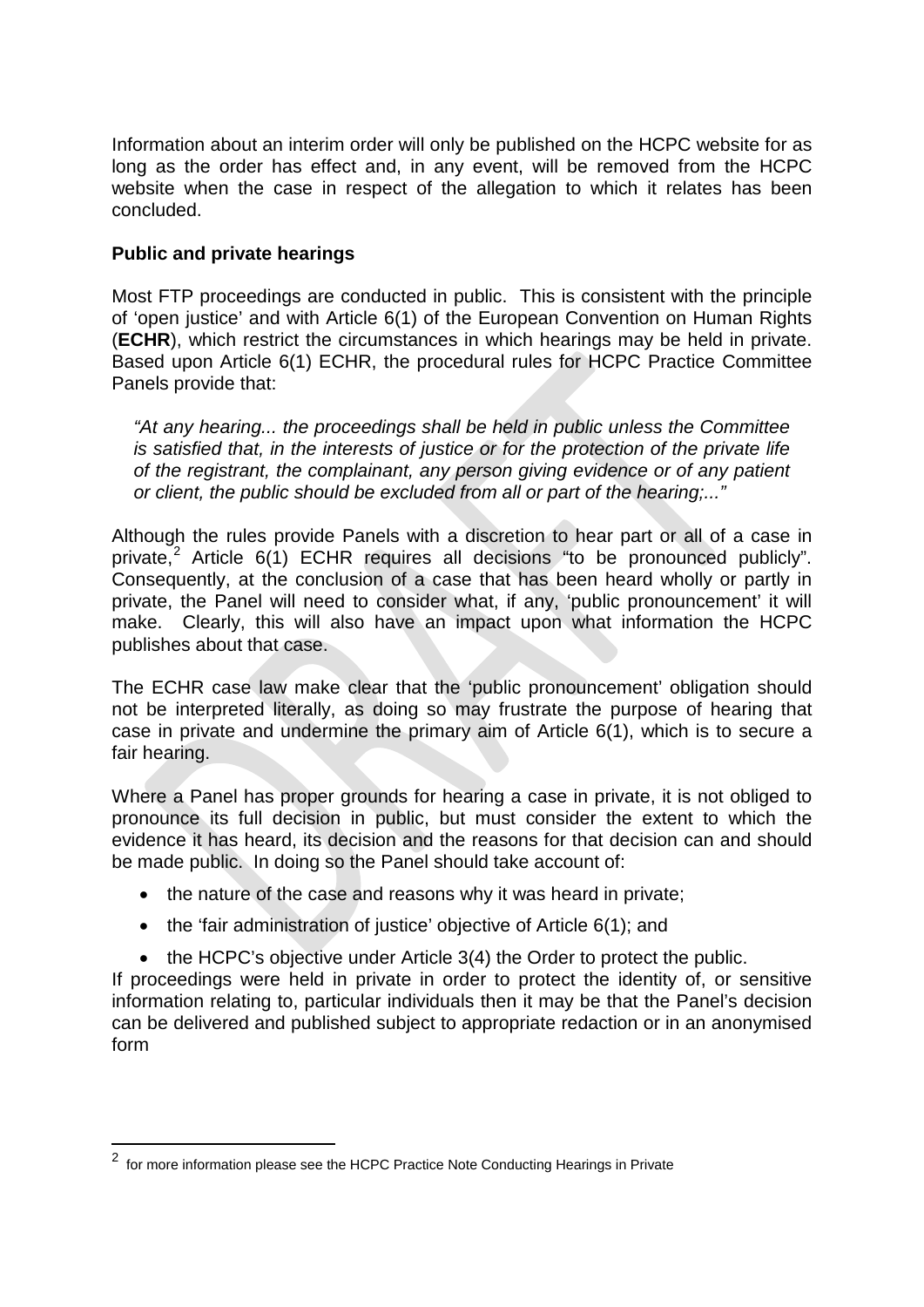Information about an interim order will only be published on the HCPC website for as long as the order has effect and, in any event, will be removed from the HCPC website when the case in respect of the allegation to which it relates has been concluded.

# **Public and private hearings**

Most FTP proceedings are conducted in public. This is consistent with the principle of 'open justice' and with Article 6(1) of the European Convention on Human Rights (**ECHR**), which restrict the circumstances in which hearings may be held in private. Based upon Article 6(1) ECHR, the procedural rules for HCPC Practice Committee Panels provide that:

*"At any hearing... the proceedings shall be held in public unless the Committee is satisfied that, in the interests of justice or for the protection of the private life of the registrant, the complainant, any person giving evidence or of any patient or client, the public should be excluded from all or part of the hearing;..."*

Although the rules provide Panels with a discretion to hear part or all of a case in private,<sup>2</sup> Article  $6(1)$  ECHR requires all decisions "to be pronounced publicly". Consequently, at the conclusion of a case that has been heard wholly or partly in private, the Panel will need to consider what, if any, 'public pronouncement' it will make. Clearly, this will also have an impact upon what information the HCPC publishes about that case.

The ECHR case law make clear that the 'public pronouncement' obligation should not be interpreted literally, as doing so may frustrate the purpose of hearing that case in private and undermine the primary aim of Article 6(1), which is to secure a fair hearing.

Where a Panel has proper grounds for hearing a case in private, it is not obliged to pronounce its full decision in public, but must consider the extent to which the evidence it has heard, its decision and the reasons for that decision can and should be made public. In doing so the Panel should take account of:

- the nature of the case and reasons why it was heard in private:
- the 'fair administration of justice' objective of Article 6(1); and
- the HCPC's objective under Article 3(4) the Order to protect the public.

If proceedings were held in private in order to protect the identity of, or sensitive information relating to, particular individuals then it may be that the Panel's decision can be delivered and published subject to appropriate redaction or in an anonymised form

 $\overline{a}$ 

<sup>&</sup>lt;sup>2</sup> for more information please see the HCPC Practice Note Conducting Hearings in Private